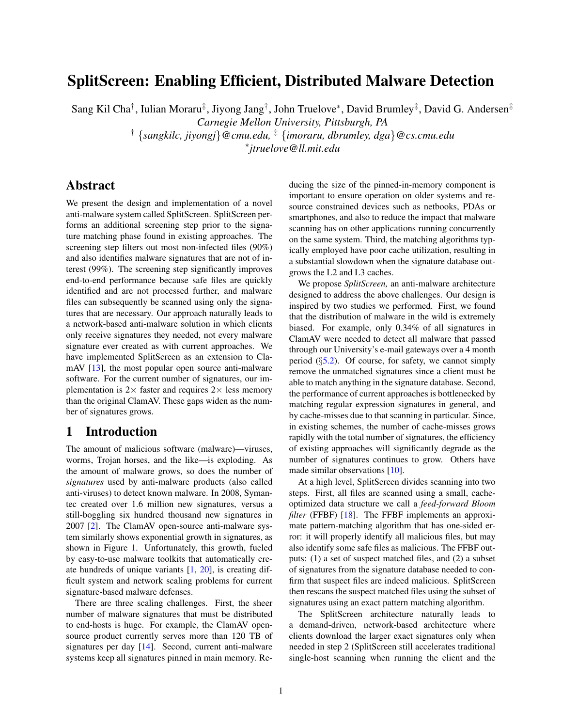# SplitScreen: Enabling Efficient, Distributed Malware Detection

Sang Kil Cha<sup>†</sup>, Iulian Moraru‡, Jiyong Jang<sup>†</sup>, John Truelove\*, David Brumley‡, David G. Andersen‡

*Carnegie Mellon University, Pittsburgh, PA*

† {*sangkilc, jiyongj*}*@cmu.edu,* ‡ {*imoraru, dbrumley, dga*}*@cs.cmu.edu*

∗ *jtruelove@ll.mit.edu*

# Abstract

We present the design and implementation of a novel anti-malware system called SplitScreen. SplitScreen performs an additional screening step prior to the signature matching phase found in existing approaches. The screening step filters out most non-infected files (90%) and also identifies malware signatures that are not of interest (99%). The screening step significantly improves end-to-end performance because safe files are quickly identified and are not processed further, and malware files can subsequently be scanned using only the signatures that are necessary. Our approach naturally leads to a network-based anti-malware solution in which clients only receive signatures they needed, not every malware signature ever created as with current approaches. We have implemented SplitScreen as an extension to Cla-mAV [\[13\]](#page-13-0), the most popular open source anti-malware software. For the current number of signatures, our implementation is  $2 \times$  faster and requires  $2 \times$  less memory than the original ClamAV. These gaps widen as the number of signatures grows.

# 1 Introduction

The amount of malicious software (malware)—viruses, worms, Trojan horses, and the like—is exploding. As the amount of malware grows, so does the number of *signatures* used by anti-malware products (also called anti-viruses) to detect known malware. In 2008, Symantec created over 1.6 million new signatures, versus a still-boggling six hundred thousand new signatures in 2007 [\[2\]](#page-13-1). The ClamAV open-source anti-malware system similarly shows exponential growth in signatures, as shown in Figure [1.](#page-1-0) Unfortunately, this growth, fueled by easy-to-use malware toolkits that automatically create hundreds of unique variants [\[1,](#page-13-2) [20\]](#page-13-3), is creating difficult system and network scaling problems for current signature-based malware defenses.

There are three scaling challenges. First, the sheer number of malware signatures that must be distributed to end-hosts is huge. For example, the ClamAV opensource product currently serves more than 120 TB of signatures per day [\[14\]](#page-13-4). Second, current anti-malware systems keep all signatures pinned in main memory. Reducing the size of the pinned-in-memory component is important to ensure operation on older systems and resource constrained devices such as netbooks, PDAs or smartphones, and also to reduce the impact that malware scanning has on other applications running concurrently on the same system. Third, the matching algorithms typically employed have poor cache utilization, resulting in a substantial slowdown when the signature database outgrows the L2 and L3 caches.

We propose *SplitScreen,* an anti-malware architecture designed to address the above challenges. Our design is inspired by two studies we performed. First, we found that the distribution of malware in the wild is extremely biased. For example, only 0.34% of all signatures in ClamAV were needed to detect all malware that passed through our University's e-mail gateways over a 4 month period  $(\S$ [5.2\)](#page-7-0). Of course, for safety, we cannot simply remove the unmatched signatures since a client must be able to match anything in the signature database. Second, the performance of current approaches is bottlenecked by matching regular expression signatures in general, and by cache-misses due to that scanning in particular. Since, in existing schemes, the number of cache-misses grows rapidly with the total number of signatures, the efficiency of existing approaches will significantly degrade as the number of signatures continues to grow. Others have made similar observations [\[10\]](#page-13-5).

At a high level, SplitScreen divides scanning into two steps. First, all files are scanned using a small, cacheoptimized data structure we call a *feed-forward Bloom filter* (FFBF) [\[18\]](#page-13-6). The FFBF implements an approximate pattern-matching algorithm that has one-sided error: it will properly identify all malicious files, but may also identify some safe files as malicious. The FFBF outputs: (1) a set of suspect matched files, and (2) a subset of signatures from the signature database needed to confirm that suspect files are indeed malicious. SplitScreen then rescans the suspect matched files using the subset of signatures using an exact pattern matching algorithm.

The SplitScreen architecture naturally leads to a demand-driven, network-based architecture where clients download the larger exact signatures only when needed in step 2 (SplitScreen still accelerates traditional single-host scanning when running the client and the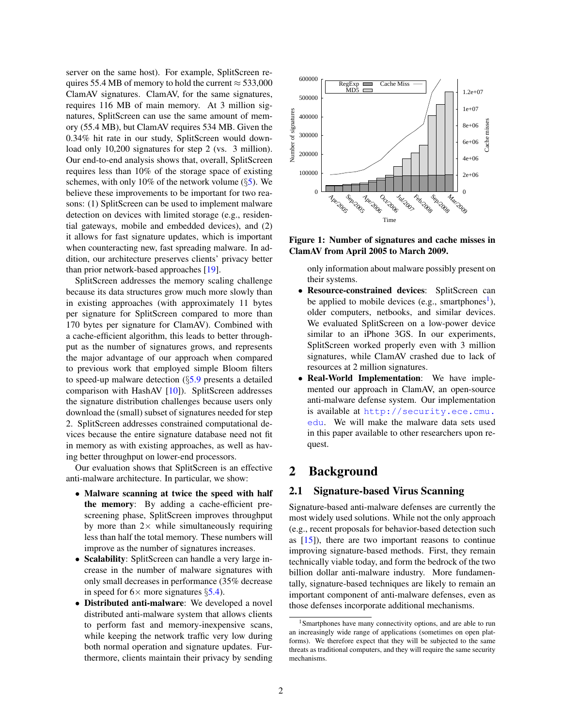server on the same host). For example, SplitScreen requires 55.4 MB of memory to hold the current  $\approx$  533,000 ClamAV signatures. ClamAV, for the same signatures, requires 116 MB of main memory. At 3 million signatures, SplitScreen can use the same amount of memory (55.4 MB), but ClamAV requires 534 MB. Given the 0.34% hit rate in our study, SplitScreen would download only 10,200 signatures for step 2 (vs. 3 million). Our end-to-end analysis shows that, overall, SplitScreen requires less than 10% of the storage space of existing schemes, with only 10% of the network volume  $(\S 5)$  $(\S 5)$ . We believe these improvements to be important for two reasons: (1) SplitScreen can be used to implement malware detection on devices with limited storage (e.g., residential gateways, mobile and embedded devices), and (2) it allows for fast signature updates, which is important when counteracting new, fast spreading malware. In addition, our architecture preserves clients' privacy better than prior network-based approaches [\[19\]](#page-13-7).

SplitScreen addresses the memory scaling challenge because its data structures grow much more slowly than in existing approaches (with approximately 11 bytes per signature for SplitScreen compared to more than 170 bytes per signature for ClamAV). Combined with a cache-efficient algorithm, this leads to better throughput as the number of signatures grows, and represents the major advantage of our approach when compared to previous work that employed simple Bloom filters to speed-up malware detection (§[5.9](#page-11-0) presents a detailed comparison with HashAV [\[10\]](#page-13-5)). SplitScreen addresses the signature distribution challenges because users only download the (small) subset of signatures needed for step 2. SplitScreen addresses constrained computational devices because the entire signature database need not fit in memory as with existing approaches, as well as having better throughput on lower-end processors.

Our evaluation shows that SplitScreen is an effective anti-malware architecture. In particular, we show:

- Malware scanning at twice the speed with half the memory: By adding a cache-efficient prescreening phase, SplitScreen improves throughput by more than  $2 \times$  while simultaneously requiring less than half the total memory. These numbers will improve as the number of signatures increases.
- Scalability: SplitScreen can handle a very large increase in the number of malware signatures with only small decreases in performance (35% decrease in speed for  $6 \times$  more signatures  $\S$ [5.4\)](#page-8-0).
- Distributed anti-malware: We developed a novel distributed anti-malware system that allows clients to perform fast and memory-inexpensive scans, while keeping the network traffic very low during both normal operation and signature updates. Furthermore, clients maintain their privacy by sending



Figure 1: Number of signatures and cache misses in ClamAV from April 2005 to March 2009.

<span id="page-1-0"></span>only information about malware possibly present on their systems.

- Resource-constrained devices: SplitScreen can be applied to mobile devices (e.g., smartphones<sup>[1](#page-1-1)</sup>), older computers, netbooks, and similar devices. We evaluated SplitScreen on a low-power device similar to an iPhone 3GS. In our experiments, SplitScreen worked properly even with 3 million signatures, while ClamAV crashed due to lack of resources at 2 million signatures.
- Real-World Implementation: We have implemented our approach in ClamAV, an open-source anti-malware defense system. Our implementation is available at [http://security.ece.cmu.](http://security.ece.cmu.edu) [edu](http://security.ece.cmu.edu). We will make the malware data sets used in this paper available to other researchers upon request.

# 2 Background

## <span id="page-1-2"></span>2.1 Signature-based Virus Scanning

Signature-based anti-malware defenses are currently the most widely used solutions. While not the only approach (e.g., recent proposals for behavior-based detection such as [\[15\]](#page-13-8)), there are two important reasons to continue improving signature-based methods. First, they remain technically viable today, and form the bedrock of the two billion dollar anti-malware industry. More fundamentally, signature-based techniques are likely to remain an important component of anti-malware defenses, even as those defenses incorporate additional mechanisms.

<span id="page-1-1"></span><sup>1</sup>Smartphones have many connectivity options, and are able to run an increasingly wide range of applications (sometimes on open platforms). We therefore expect that they will be subjected to the same threats as traditional computers, and they will require the same security mechanisms.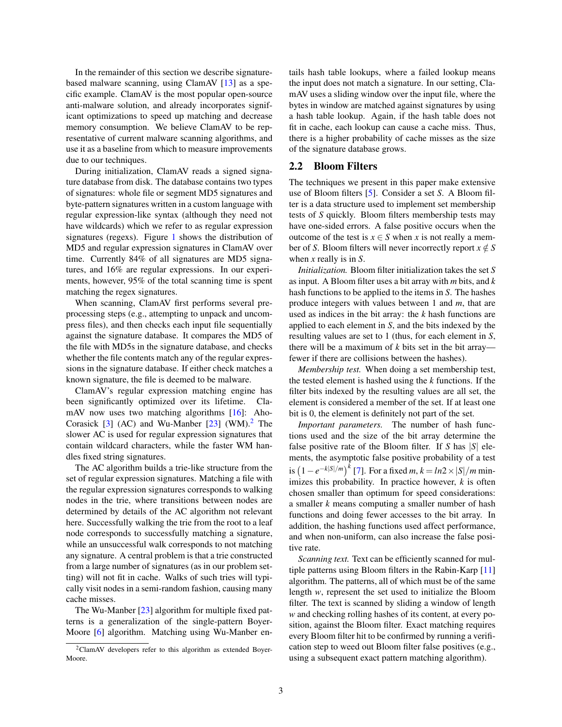In the remainder of this section we describe signaturebased malware scanning, using ClamAV [\[13\]](#page-13-0) as a specific example. ClamAV is the most popular open-source anti-malware solution, and already incorporates significant optimizations to speed up matching and decrease memory consumption. We believe ClamAV to be representative of current malware scanning algorithms, and use it as a baseline from which to measure improvements due to our techniques.

During initialization, ClamAV reads a signed signature database from disk. The database contains two types of signatures: whole file or segment MD5 signatures and byte-pattern signatures written in a custom language with regular expression-like syntax (although they need not have wildcards) which we refer to as regular expression signatures (regexs). Figure [1](#page-1-0) shows the distribution of MD5 and regular expression signatures in ClamAV over time. Currently 84% of all signatures are MD5 signatures, and 16% are regular expressions. In our experiments, however, 95% of the total scanning time is spent matching the regex signatures.

When scanning, ClamAV first performs several preprocessing steps (e.g., attempting to unpack and uncompress files), and then checks each input file sequentially against the signature database. It compares the MD5 of the file with MD5s in the signature database, and checks whether the file contents match any of the regular expressions in the signature database. If either check matches a known signature, the file is deemed to be malware.

ClamAV's regular expression matching engine has been significantly optimized over its lifetime. ClamAV now uses two matching algorithms [\[16\]](#page-13-9): Aho-Corasick  $[3]$  (AC) and Wu-Manber  $[23]$  (WM).<sup>[2](#page-2-0)</sup> The slower AC is used for regular expression signatures that contain wildcard characters, while the faster WM handles fixed string signatures.

The AC algorithm builds a trie-like structure from the set of regular expression signatures. Matching a file with the regular expression signatures corresponds to walking nodes in the trie, where transitions between nodes are determined by details of the AC algorithm not relevant here. Successfully walking the trie from the root to a leaf node corresponds to successfully matching a signature, while an unsuccessful walk corresponds to not matching any signature. A central problem is that a trie constructed from a large number of signatures (as in our problem setting) will not fit in cache. Walks of such tries will typically visit nodes in a semi-random fashion, causing many cache misses.

The Wu-Manber [\[23\]](#page-13-11) algorithm for multiple fixed patterns is a generalization of the single-pattern Boyer-Moore [\[6\]](#page-13-12) algorithm. Matching using Wu-Manber entails hash table lookups, where a failed lookup means the input does not match a signature. In our setting, ClamAV uses a sliding window over the input file, where the bytes in window are matched against signatures by using a hash table lookup. Again, if the hash table does not fit in cache, each lookup can cause a cache miss. Thus, there is a higher probability of cache misses as the size of the signature database grows.

## <span id="page-2-1"></span>2.2 Bloom Filters

The techniques we present in this paper make extensive use of Bloom filters [\[5\]](#page-13-13). Consider a set *S*. A Bloom filter is a data structure used to implement set membership tests of *S* quickly. Bloom filters membership tests may have one-sided errors. A false positive occurs when the outcome of the test is  $x \in S$  when *x* is not really a member of *S*. Bloom filters will never incorrectly report  $x \notin S$ when *x* really is in *S*.

*Initialization.* Bloom filter initialization takes the set *S* as input. A Bloom filter uses a bit array with *m* bits, and *k* hash functions to be applied to the items in *S*. The hashes produce integers with values between 1 and *m*, that are used as indices in the bit array: the *k* hash functions are applied to each element in *S*, and the bits indexed by the resulting values are set to 1 (thus, for each element in *S*, there will be a maximum of *k* bits set in the bit array fewer if there are collisions between the hashes).

*Membership test.* When doing a set membership test, the tested element is hashed using the *k* functions. If the filter bits indexed by the resulting values are all set, the element is considered a member of the set. If at least one bit is 0, the element is definitely not part of the set.

*Important parameters.* The number of hash functions used and the size of the bit array determine the false positive rate of the Bloom filter. If *S* has |*S*| elements, the asymptotic false positive probability of a test  $\int \frac{1}{2}$  =  $e^{-k|S|/m}$   $\int$  [\[7\]](#page-13-14). For a fixed *m*, *k* = *ln*2 × |*S*|/*m* minimizes this probability. In practice however, *k* is often chosen smaller than optimum for speed considerations: a smaller *k* means computing a smaller number of hash functions and doing fewer accesses to the bit array. In addition, the hashing functions used affect performance, and when non-uniform, can also increase the false positive rate.

*Scanning text.* Text can be efficiently scanned for multiple patterns using Bloom filters in the Rabin-Karp [\[11\]](#page-13-15) algorithm. The patterns, all of which must be of the same length *w*, represent the set used to initialize the Bloom filter. The text is scanned by sliding a window of length *w* and checking rolling hashes of its content, at every position, against the Bloom filter. Exact matching requires every Bloom filter hit to be confirmed by running a verification step to weed out Bloom filter false positives (e.g., using a subsequent exact pattern matching algorithm).

<span id="page-2-0"></span><sup>&</sup>lt;sup>2</sup>ClamAV developers refer to this algorithm as extended Boyer-Moore.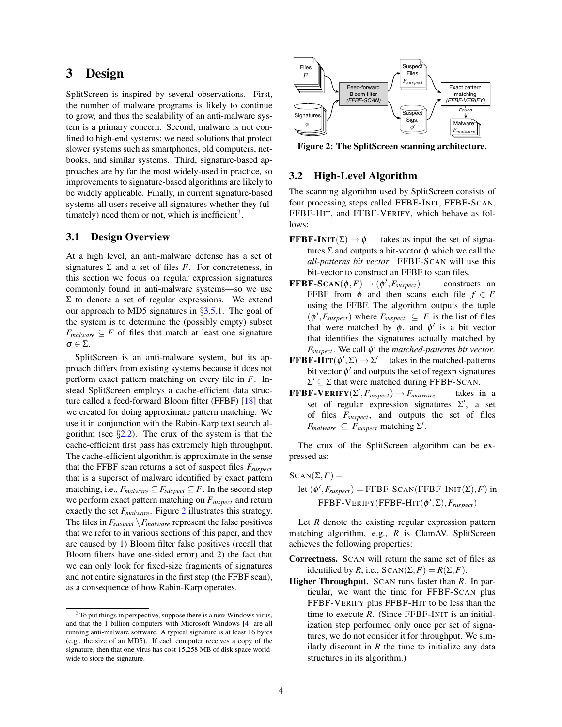# <span id="page-3-2"></span>3 Design

SplitScreen is inspired by several observations. First, the number of malware programs is likely to continue to grow, and thus the scalability of an anti-malware system is a primary concern. Second, malware is not confined to high-end systems; we need solutions that protect slower systems such as smartphones, old computers, netbooks, and similar systems. Third, signature-based approaches are by far the most widely-used in practice, so improvements to signature-based algorithms are likely to be widely applicable. Finally, in current signature-based systems all users receive all signatures whether they (ul-timately) need them or not, which is inefficient<sup>[3](#page-3-0)</sup>.

## 3.1 Design Overview

At a high level, an anti-malware defense has a set of signatures  $\Sigma$  and a set of files *F*. For concreteness, in this section we focus on regular expression signatures commonly found in anti-malware systems—so we use Σ to denote a set of regular expressions. We extend our approach to MD5 signatures in §[3.5.1.](#page-5-0) The goal of the system is to determine the (possibly empty) subset  $F_{\textit{malloware}} \subseteq F$  of files that match at least one signature σ ∈ Σ.

SplitScreen is an anti-malware system, but its approach differs from existing systems because it does not perform exact pattern matching on every file in *F*. Instead SplitScreen employs a cache-efficient data structure called a feed-forward Bloom filter (FFBF) [\[18\]](#page-13-6) that we created for doing approximate pattern matching. We use it in conjunction with the Rabin-Karp text search algorithm (see  $\S2.2$ ). The crux of the system is that the cache-efficient first pass has extremely high throughput. The cache-efficient algorithm is approximate in the sense that the FFBF scan returns a set of suspect files *Fsuspect* that is a superset of malware identified by exact pattern matching, i.e.,  $F_{malware} \subseteq F_{suspect} \subseteq F$ . In the second step we perform exact pattern matching on *Fsuspect* and return exactly the set *Fmalware*. Figure [2](#page-3-1) illustrates this strategy. The files in  $F_{suspect} \backslash F_{malware}$  represent the false positives that we refer to in various sections of this paper, and they are caused by 1) Bloom filter false positives (recall that Bloom filters have one-sided error) and 2) the fact that we can only look for fixed-size fragments of signatures and not entire signatures in the first step (the FFBF scan), as a consequence of how Rabin-Karp operates.



<span id="page-3-1"></span>Figure 2: The SplitScreen scanning architecture.

### 3.2 High-Level Algorithm

The scanning algorithm used by SplitScreen consists of four processing steps called FFBF-INIT, FFBF-SCAN, FFBF-HIT, and FFBF-VERIFY, which behave as follows:

- **FFBF-INIT**( $\Sigma$ )  $\rightarrow \phi$  takes as input the set of signatures  $\Sigma$  and outputs a bit-vector  $\phi$  which we call the *all-patterns bit vector*. FFBF-SCAN will use this bit-vector to construct an FFBF to scan files.
- $\mathbf{FFBF-S}\mathbf{CAN}(\phi, F)\rightarrow (\phi^{\prime}% )\mathbf{SP}^{\prime}(\phi, F)$ constructs an FFBF from  $\phi$  and then scans each file  $f \in F$ using the FFBF. The algorithm outputs the tuple  $(\phi', F_{suspect})$  where  $F_{suspect} \subseteq F$  is the list of files that were matched by  $\phi$ , and  $\phi'$  is a bit vector that identifies the signatures actually matched by  $F_{\text{suspect}}$ . We call  $\phi'$  the *matched-patterns bit vector*.
- **FFBF-HIT** $(\phi', \Sigma) \rightarrow \Sigma'$  takes in the matched-patterns bit vector  $\phi'$  and outputs the set of regexp signatures  $\Sigma' \subseteq \Sigma$  that were matched during FFBF-SCAN.
- $\mathbf{FFBF-VERIFY}(\Sigma', F_{suspect}) \rightarrow F_{malware}$  takes in a set of regular expression signatures  $\Sigma'$ , a set of files *Fsuspect*, and outputs the set of files  $F_{malware} \subseteq F_{suspect}$  matching  $\Sigma'$ .

The crux of the SplitScreen algorithm can be expressed as:

 $SCAN(\Sigma, F) =$ let  $(\phi', F_{suspect})$  = FFBF-SCAN(FFBF-INIT( $\Sigma$ ), *F*) in  $\text{FFBF-VERT}(\text{FFBF-HIT}(\phi', \Sigma), F_{\text{suspect}})$ 

Let *R* denote the existing regular expression pattern matching algorithm, e.g., *R* is ClamAV. SplitScreen achieves the following properties:

Correctness. SCAN will return the same set of files as identified by *R*, i.e.,  $SCAN(\Sigma, F) = R(\Sigma, F)$ .

Higher Throughput. SCAN runs faster than *R*. In particular, we want the time for FFBF-SCAN plus FFBF-VERIFY plus FFBF-HIT to be less than the time to execute *R*. (Since FFBF-INIT is an initialization step performed only once per set of signatures, we do not consider it for throughput. We similarly discount in  $R$  the time to initialize any data structures in its algorithm.)

<span id="page-3-0"></span> $3$ To put things in perspective, suppose there is a new Windows virus, and that the 1 billion computers with Microsoft Windows [\[4\]](#page-13-16) are all running anti-malware software. A typical signature is at least 16 bytes (e.g., the size of an MD5). If each computer receives a copy of the signature, then that one virus has cost 15,258 MB of disk space worldwide to store the signature.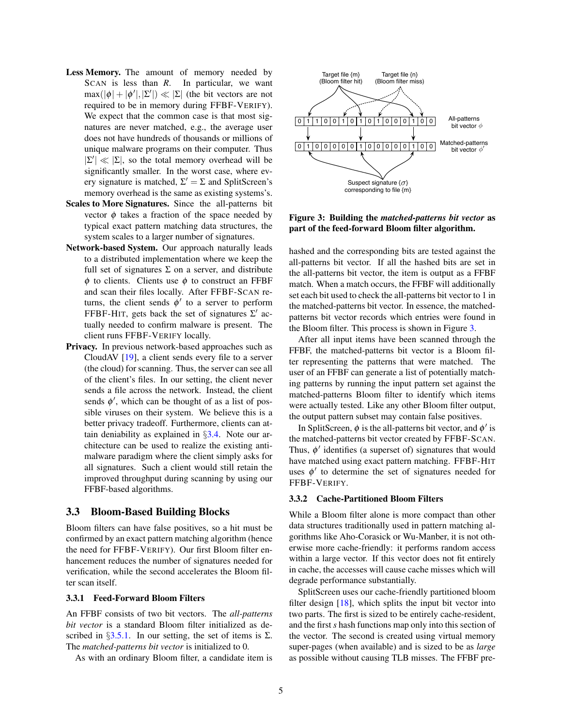- Less Memory. The amount of memory needed by SCAN is less than *R*. In particular, we want  $max(|\phi| + |\phi'|, |\Sigma'|) \ll |\Sigma|$  (the bit vectors are not required to be in memory during FFBF-VERIFY). We expect that the common case is that most signatures are never matched, e.g., the average user does not have hundreds of thousands or millions of unique malware programs on their computer. Thus  $|\Sigma'| \ll |\Sigma|$ , so the total memory overhead will be significantly smaller. In the worst case, where every signature is matched,  $\Sigma' = \Sigma$  and SplitScreen's memory overhead is the same as existing systems's.
- Scales to More Signatures. Since the all-patterns bit vector  $\phi$  takes a fraction of the space needed by typical exact pattern matching data structures, the system scales to a larger number of signatures.
- Network-based System. Our approach naturally leads to a distributed implementation where we keep the full set of signatures  $\Sigma$  on a server, and distribute  $\phi$  to clients. Clients use  $\phi$  to construct an FFBF and scan their files locally. After FFBF-SCAN returns, the client sends  $\phi'$  to a server to perform FFBF-HIT, gets back the set of signatures  $\Sigma'$  actually needed to confirm malware is present. The client runs FFBF-VERIFY locally.
- Privacy. In previous network-based approaches such as CloudAV [\[19\]](#page-13-7), a client sends every file to a server (the cloud) for scanning. Thus, the server can see all of the client's files. In our setting, the client never sends a file across the network. Instead, the client sends  $\phi'$ , which can be thought of as a list of possible viruses on their system. We believe this is a better privacy tradeoff. Furthermore, clients can attain deniability as explained in §[3.4.](#page-5-1) Note our architecture can be used to realize the existing antimalware paradigm where the client simply asks for all signatures. Such a client would still retain the improved throughput during scanning by using our FFBF-based algorithms.

### 3.3 Bloom-Based Building Blocks

Bloom filters can have false positives, so a hit must be confirmed by an exact pattern matching algorithm (hence the need for FFBF-VERIFY). Our first Bloom filter enhancement reduces the number of signatures needed for verification, while the second accelerates the Bloom filter scan itself.

#### 3.3.1 Feed-Forward Bloom Filters

An FFBF consists of two bit vectors. The *all-patterns bit vector* is a standard Bloom filter initialized as described in  $\S 3.5.1$ . In our setting, the set of items is  $\Sigma$ . The *matched-patterns bit vector* is initialized to 0.

As with an ordinary Bloom filter, a candidate item is



<span id="page-4-0"></span>Figure 3: Building the *matched-patterns bit vector* as part of the feed-forward Bloom filter algorithm.

hashed and the corresponding bits are tested against the all-patterns bit vector. If all the hashed bits are set in the all-patterns bit vector, the item is output as a FFBF match. When a match occurs, the FFBF will additionally set each bit used to check the all-patterns bit vector to 1 in the matched-patterns bit vector. In essence, the matchedpatterns bit vector records which entries were found in the Bloom filter. This process is shown in Figure [3.](#page-4-0)

After all input items have been scanned through the FFBF, the matched-patterns bit vector is a Bloom filter representing the patterns that were matched. The user of an FFBF can generate a list of potentially matching patterns by running the input pattern set against the matched-patterns Bloom filter to identify which items were actually tested. Like any other Bloom filter output, the output pattern subset may contain false positives.

In SplitScreen,  $\phi$  is the all-patterns bit vector, and  $\phi'$  is the matched-patterns bit vector created by FFBF-SCAN. Thus,  $\phi'$  identifies (a superset of) signatures that would have matched using exact pattern matching. FFBF-HIT uses  $\phi'$  to determine the set of signatures needed for FFBF-VERIFY.

#### <span id="page-4-1"></span>3.3.2 Cache-Partitioned Bloom Filters

While a Bloom filter alone is more compact than other data structures traditionally used in pattern matching algorithms like Aho-Corasick or Wu-Manber, it is not otherwise more cache-friendly: it performs random access within a large vector. If this vector does not fit entirely in cache, the accesses will cause cache misses which will degrade performance substantially.

SplitScreen uses our cache-friendly partitioned bloom filter design  $[18]$ , which splits the input bit vector into two parts. The first is sized to be entirely cache-resident, and the first *s* hash functions map only into this section of the vector. The second is created using virtual memory super-pages (when available) and is sized to be as *large* as possible without causing TLB misses. The FFBF pre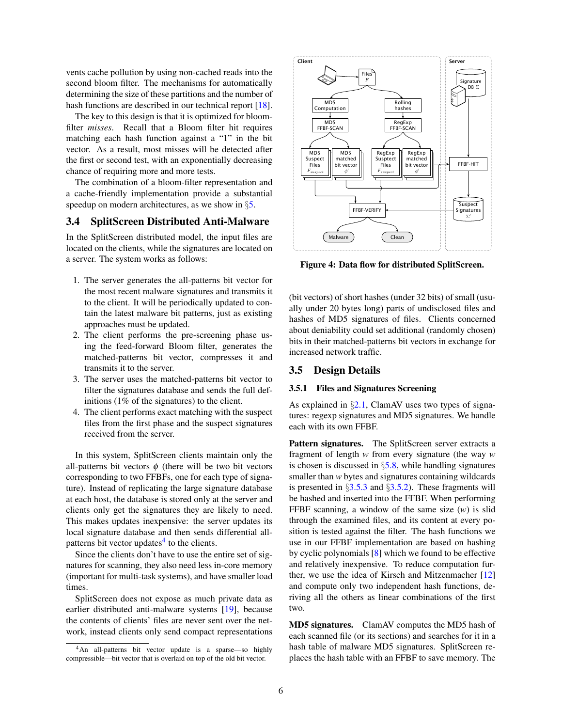vents cache pollution by using non-cached reads into the second bloom filter. The mechanisms for automatically determining the size of these partitions and the number of hash functions are described in our technical report [\[18\]](#page-13-6).

The key to this design is that it is optimized for bloomfilter *misses*. Recall that a Bloom filter hit requires matching each hash function against a "1" in the bit vector. As a result, most misses will be detected after the first or second test, with an exponentially decreasing chance of requiring more and more tests.

The combination of a bloom-filter representation and a cache-friendly implementation provide a substantial speedup on modern architectures, as we show in §[5.](#page-7-1)

## <span id="page-5-1"></span>3.4 SplitScreen Distributed Anti-Malware

In the SplitScreen distributed model, the input files are located on the clients, while the signatures are located on a server. The system works as follows:

- 1. The server generates the all-patterns bit vector for the most recent malware signatures and transmits it to the client. It will be periodically updated to contain the latest malware bit patterns, just as existing approaches must be updated.
- 2. The client performs the pre-screening phase using the feed-forward Bloom filter, generates the matched-patterns bit vector, compresses it and transmits it to the server.
- 3. The server uses the matched-patterns bit vector to filter the signatures database and sends the full definitions (1% of the signatures) to the client.
- 4. The client performs exact matching with the suspect files from the first phase and the suspect signatures received from the server.

In this system, SplitScreen clients maintain only the all-patterns bit vectors  $\phi$  (there will be two bit vectors corresponding to two FFBFs, one for each type of signature). Instead of replicating the large signature database at each host, the database is stored only at the server and clients only get the signatures they are likely to need. This makes updates inexpensive: the server updates its local signature database and then sends differential all-patterns bit vector updates<sup>[4](#page-5-2)</sup> to the clients.

Since the clients don't have to use the entire set of signatures for scanning, they also need less in-core memory (important for multi-task systems), and have smaller load times.

SplitScreen does not expose as much private data as earlier distributed anti-malware systems [\[19\]](#page-13-7), because the contents of clients' files are never sent over the network, instead clients only send compact representations



Figure 4: Data flow for distributed SplitScreen.

(bit vectors) of short hashes (under 32 bits) of small (usually under 20 bytes long) parts of undisclosed files and hashes of MD5 signatures of files. Clients concerned about deniability could set additional (randomly chosen) bits in their matched-patterns bit vectors in exchange for increased network traffic.

#### 3.5 Design Details

#### <span id="page-5-0"></span>3.5.1 Files and Signatures Screening

As explained in  $\S2.1$ , ClamAV uses two types of signatures: regexp signatures and MD5 signatures. We handle each with its own FFBF.

Pattern signatures. The SplitScreen server extracts a fragment of length *w* from every signature (the way *w* is chosen is discussed in  $\S$ [5.8,](#page-10-0) while handling signatures smaller than *w* bytes and signatures containing wildcards is presented in  $\S 3.5.3$  $\S 3.5.3$  and  $\S 3.5.2$ ). These fragments will be hashed and inserted into the FFBF. When performing FFBF scanning, a window of the same size (*w*) is slid through the examined files, and its content at every position is tested against the filter. The hash functions we use in our FFBF implementation are based on hashing by cyclic polynomials [\[8\]](#page-13-17) which we found to be effective and relatively inexpensive. To reduce computation further, we use the idea of Kirsch and Mitzenmacher [\[12\]](#page-13-18) and compute only two independent hash functions, deriving all the others as linear combinations of the first two.

MD5 signatures. ClamAV computes the MD5 hash of each scanned file (or its sections) and searches for it in a hash table of malware MD5 signatures. SplitScreen replaces the hash table with an FFBF to save memory. The

<span id="page-5-2"></span><sup>&</sup>lt;sup>4</sup>An all-patterns bit vector update is a sparse—so highly compressible—bit vector that is overlaid on top of the old bit vector.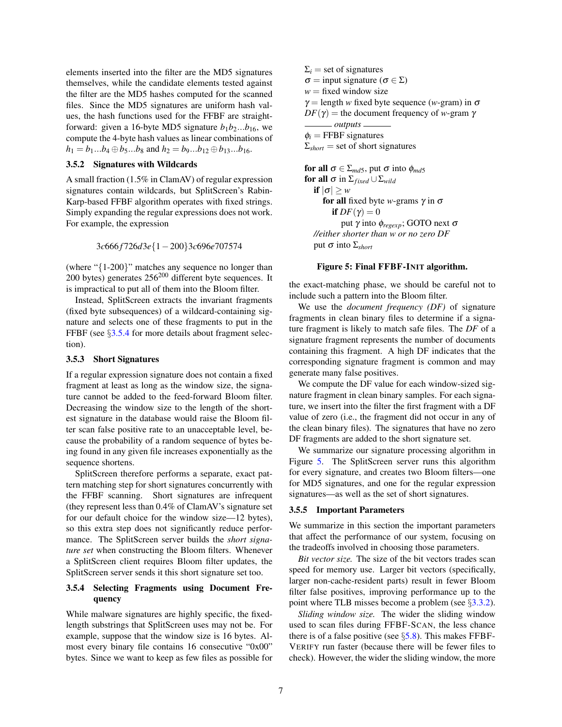elements inserted into the filter are the MD5 signatures themselves, while the candidate elements tested against the filter are the MD5 hashes computed for the scanned files. Since the MD5 signatures are uniform hash values, the hash functions used for the FFBF are straightforward: given a 16-byte MD5 signature  $b_1b_2...b_{16}$ , we compute the 4-byte hash values as linear combinations of  $h_1 = b_1...b_4 \oplus b_5...b_8$  and  $h_2 = b_9...b_{12} \oplus b_{13}...b_{16}$ .

### <span id="page-6-1"></span>3.5.2 Signatures with Wildcards

A small fraction (1.5% in ClamAV) of regular expression signatures contain wildcards, but SplitScreen's Rabin-Karp-based FFBF algorithm operates with fixed strings. Simply expanding the regular expressions does not work. For example, the expression

$$
3c666f726d3e\{1-200\}3c696e707574
$$

(where "{1-200}" matches any sequence no longer than 200 bytes) generates  $256^{200}$  different byte sequences. It is impractical to put all of them into the Bloom filter.

Instead, SplitScreen extracts the invariant fragments (fixed byte subsequences) of a wildcard-containing signature and selects one of these fragments to put in the FFBF (see §[3.5.4](#page-6-2) for more details about fragment selection).

#### <span id="page-6-0"></span>3.5.3 Short Signatures

If a regular expression signature does not contain a fixed fragment at least as long as the window size, the signature cannot be added to the feed-forward Bloom filter. Decreasing the window size to the length of the shortest signature in the database would raise the Bloom filter scan false positive rate to an unacceptable level, because the probability of a random sequence of bytes being found in any given file increases exponentially as the sequence shortens.

SplitScreen therefore performs a separate, exact pattern matching step for short signatures concurrently with the FFBF scanning. Short signatures are infrequent (they represent less than 0.4% of ClamAV's signature set for our default choice for the window size—12 bytes), so this extra step does not significantly reduce performance. The SplitScreen server builds the *short signature set* when constructing the Bloom filters. Whenever a SplitScreen client requires Bloom filter updates, the SplitScreen server sends it this short signature set too.

#### <span id="page-6-2"></span>3.5.4 Selecting Fragments using Document Frequency

While malware signatures are highly specific, the fixedlength substrings that SplitScreen uses may not be. For example, suppose that the window size is 16 bytes. Almost every binary file contains 16 consecutive "0x00" bytes. Since we want to keep as few files as possible for  $\Sigma_i$  = set of signatures  $\sigma$  = input signature ( $\sigma \in \Sigma$ )  $w =$  fixed window size  $\gamma$  = length *w* fixed byte sequence (*w*-gram) in  $\sigma$  $DF(\gamma)$  = the document frequency of *w*-gram  $\gamma$ *outputs*  $\phi_i$  = FFBF signatures  $\Sigma_{short}$  = set of short signatures for all  $\sigma \in \Sigma_{md5}$ , put  $\sigma$  into  $\phi_{md5}$ for all  $\sigma$  in  $\Sigma_{fixed} \cup \Sigma_{wild}$ if  $|\sigma| \geq w$ for all fixed byte *w*-grams  $\gamma$  in  $\sigma$ if  $DF(\gamma) = 0$ put γ into φ*regexp*; GOTO next σ *//either shorter than w or no zero DF*

<span id="page-6-3"></span>put  $\sigma$  into  $\Sigma$ <sub>*short*</sub>

#### Figure 5: Final FFBF-INIT algorithm.

the exact-matching phase, we should be careful not to include such a pattern into the Bloom filter.

We use the *document frequency (DF)* of signature fragments in clean binary files to determine if a signature fragment is likely to match safe files. The *DF* of a signature fragment represents the number of documents containing this fragment. A high DF indicates that the corresponding signature fragment is common and may generate many false positives.

We compute the DF value for each window-sized signature fragment in clean binary samples. For each signature, we insert into the filter the first fragment with a DF value of zero (i.e., the fragment did not occur in any of the clean binary files). The signatures that have no zero DF fragments are added to the short signature set.

We summarize our signature processing algorithm in Figure [5.](#page-6-3) The SplitScreen server runs this algorithm for every signature, and creates two Bloom filters—one for MD5 signatures, and one for the regular expression signatures—as well as the set of short signatures.

#### 3.5.5 Important Parameters

We summarize in this section the important parameters that affect the performance of our system, focusing on the tradeoffs involved in choosing those parameters.

*Bit vector size.* The size of the bit vectors trades scan speed for memory use. Larger bit vectors (specifically, larger non-cache-resident parts) result in fewer Bloom filter false positives, improving performance up to the point where TLB misses become a problem (see §[3.3.2\)](#page-4-1).

*Sliding window size.* The wider the sliding window used to scan files during FFBF-SCAN, the less chance there is of a false positive (see  $\S$ [5.8\)](#page-10-0). This makes FFBF-VERIFY run faster (because there will be fewer files to check). However, the wider the sliding window, the more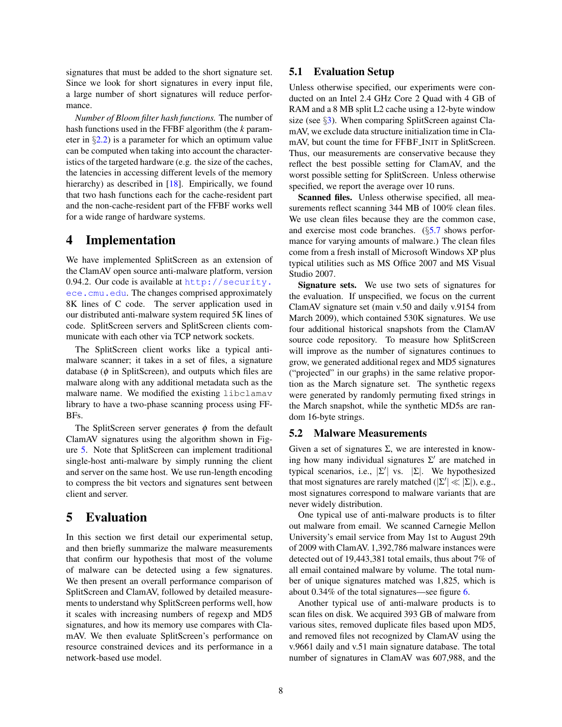signatures that must be added to the short signature set. Since we look for short signatures in every input file, a large number of short signatures will reduce performance.

*Number of Bloom filter hash functions.* The number of hash functions used in the FFBF algorithm (the *k* parameter in  $\S$ [2.2\)](#page-2-1) is a parameter for which an optimum value can be computed when taking into account the characteristics of the targeted hardware (e.g. the size of the caches, the latencies in accessing different levels of the memory hierarchy) as described in [\[18\]](#page-13-6). Empirically, we found that two hash functions each for the cache-resident part and the non-cache-resident part of the FFBF works well for a wide range of hardware systems.

# 4 Implementation

We have implemented SplitScreen as an extension of the ClamAV open source anti-malware platform, version 0.94.2. Our code is available at [http://security.](http://security.ece.cmu.edu) [ece.cmu.edu](http://security.ece.cmu.edu). The changes comprised approximately 8K lines of C code. The server application used in our distributed anti-malware system required 5K lines of code. SplitScreen servers and SplitScreen clients communicate with each other via TCP network sockets.

The SplitScreen client works like a typical antimalware scanner; it takes in a set of files, a signature database ( $\phi$  in SplitScreen), and outputs which files are malware along with any additional metadata such as the malware name. We modified the existing libclamav library to have a two-phase scanning process using FF-BFs.

The SplitScreen server generates  $\phi$  from the default ClamAV signatures using the algorithm shown in Figure [5.](#page-6-3) Note that SplitScreen can implement traditional single-host anti-malware by simply running the client and server on the same host. We use run-length encoding to compress the bit vectors and signatures sent between client and server.

# <span id="page-7-1"></span>5 Evaluation

In this section we first detail our experimental setup, and then briefly summarize the malware measurements that confirm our hypothesis that most of the volume of malware can be detected using a few signatures. We then present an overall performance comparison of SplitScreen and ClamAV, followed by detailed measurements to understand why SplitScreen performs well, how it scales with increasing numbers of regexp and MD5 signatures, and how its memory use compares with ClamAV. We then evaluate SplitScreen's performance on resource constrained devices and its performance in a network-based use model.

### <span id="page-7-2"></span>5.1 Evaluation Setup

Unless otherwise specified, our experiments were conducted on an Intel 2.4 GHz Core 2 Quad with 4 GB of RAM and a 8 MB split L2 cache using a 12-byte window size (see  $\S$ [3\)](#page-3-2). When comparing SplitScreen against ClamAV, we exclude data structure initialization time in ClamAV, but count the time for FFBF INIT in SplitScreen. Thus, our measurements are conservative because they reflect the best possible setting for ClamAV, and the worst possible setting for SplitScreen. Unless otherwise specified, we report the average over 10 runs.

Scanned files. Unless otherwise specified, all measurements reflect scanning 344 MB of 100% clean files. We use clean files because they are the common case, and exercise most code branches. (§[5.7](#page-10-1) shows performance for varying amounts of malware.) The clean files come from a fresh install of Microsoft Windows XP plus typical utilities such as MS Office 2007 and MS Visual Studio 2007.

Signature sets. We use two sets of signatures for the evaluation. If unspecified, we focus on the current ClamAV signature set (main v.50 and daily v.9154 from March 2009), which contained 530K signatures. We use four additional historical snapshots from the ClamAV source code repository. To measure how SplitScreen will improve as the number of signatures continues to grow, we generated additional regex and MD5 signatures ("projected" in our graphs) in the same relative proportion as the March signature set. The synthetic regexs were generated by randomly permuting fixed strings in the March snapshot, while the synthetic MD5s are random 16-byte strings.

### <span id="page-7-0"></span>5.2 Malware Measurements

Given a set of signatures  $\Sigma$ , we are interested in knowing how many individual signatures  $\Sigma'$  are matched in typical scenarios, i.e.,  $|\Sigma'|$  vs.  $|\Sigma|$ . We hypothesized that most signatures are rarely matched ( $|\Sigma'| \ll |\Sigma|$ ), e.g., most signatures correspond to malware variants that are never widely distribution.

One typical use of anti-malware products is to filter out malware from email. We scanned Carnegie Mellon University's email service from May 1st to August 29th of 2009 with ClamAV. 1,392,786 malware instances were detected out of 19,443,381 total emails, thus about 7% of all email contained malware by volume. The total number of unique signatures matched was 1,825, which is about 0.34% of the total signatures—see figure [6.](#page-8-1)

Another typical use of anti-malware products is to scan files on disk. We acquired 393 GB of malware from various sites, removed duplicate files based upon MD5, and removed files not recognized by ClamAV using the v.9661 daily and v.51 main signature database. The total number of signatures in ClamAV was 607,988, and the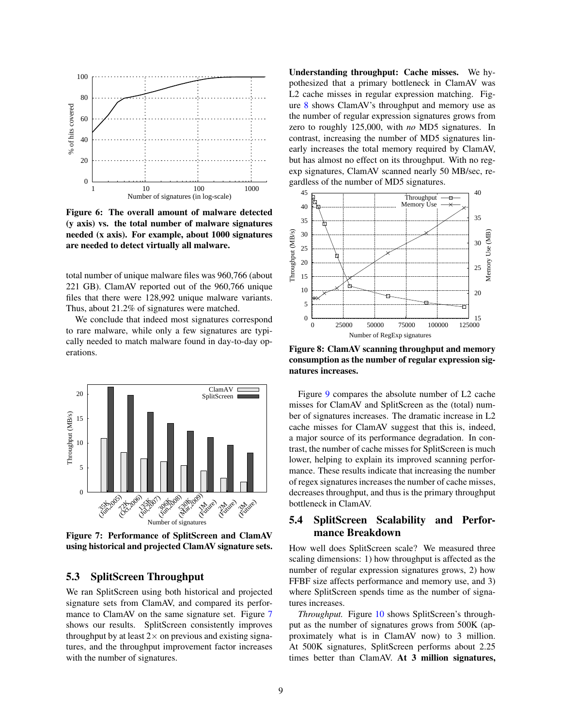

<span id="page-8-1"></span>Figure 6: The overall amount of malware detected (y axis) vs. the total number of malware signatures needed (x axis). For example, about 1000 signatures are needed to detect virtually all malware.

total number of unique malware files was 960,766 (about 221 GB). ClamAV reported out of the 960,766 unique files that there were 128,992 unique malware variants. Thus, about 21.2% of signatures were matched.

We conclude that indeed most signatures correspond to rare malware, while only a few signatures are typically needed to match malware found in day-to-day operations.



<span id="page-8-2"></span>Figure 7: Performance of SplitScreen and ClamAV using historical and projected ClamAV signature sets.

### 5.3 SplitScreen Throughput

We ran SplitScreen using both historical and projected signature sets from ClamAV, and compared its perfor-mance to ClamAV on the same signature set. Figure [7](#page-8-2) shows our results. SplitScreen consistently improves throughput by at least  $2 \times$  on previous and existing signatures, and the throughput improvement factor increases with the number of signatures.

Understanding throughput: Cache misses. We hypothesized that a primary bottleneck in ClamAV was L2 cache misses in regular expression matching. Figure [8](#page-8-3) shows ClamAV's throughput and memory use as the number of regular expression signatures grows from zero to roughly 125,000, with *no* MD5 signatures. In contrast, increasing the number of MD5 signatures linearly increases the total memory required by ClamAV, but has almost no effect on its throughput. With no regexp signatures, ClamAV scanned nearly 50 MB/sec, regardless of the number of MD5 signatures.



<span id="page-8-3"></span>Figure 8: ClamAV scanning throughput and memory consumption as the number of regular expression signatures increases.

Figure [9](#page-9-0) compares the absolute number of L2 cache misses for ClamAV and SplitScreen as the (total) number of signatures increases. The dramatic increase in L2 cache misses for ClamAV suggest that this is, indeed, a major source of its performance degradation. In contrast, the number of cache misses for SplitScreen is much lower, helping to explain its improved scanning performance. These results indicate that increasing the number of regex signatures increases the number of cache misses, decreases throughput, and thus is the primary throughput bottleneck in ClamAV.

# <span id="page-8-0"></span>5.4 SplitScreen Scalability and Performance Breakdown

How well does SplitScreen scale? We measured three scaling dimensions: 1) how throughput is affected as the number of regular expression signatures grows, 2) how FFBF size affects performance and memory use, and 3) where SplitScreen spends time as the number of signatures increases.

*Throughput.* Figure [10](#page-9-1) shows SplitScreen's throughput as the number of signatures grows from 500K (approximately what is in ClamAV now) to 3 million. At 500K signatures, SplitScreen performs about 2.25 times better than ClamAV. At 3 million signatures,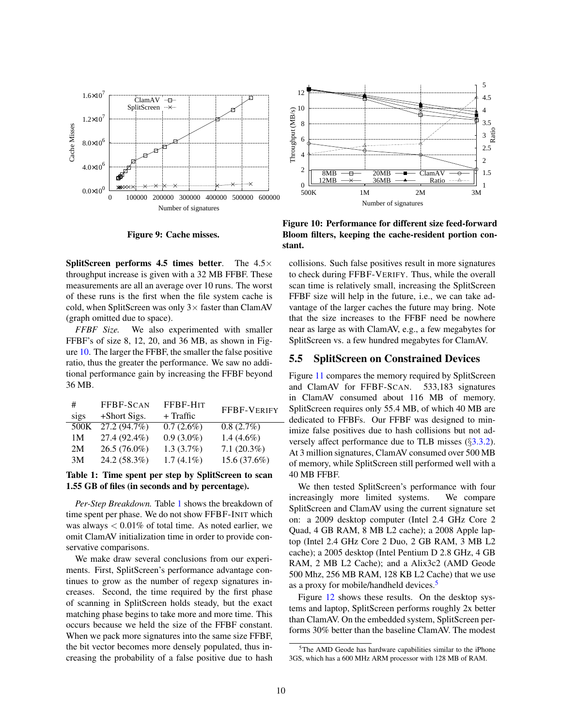

Figure 9: Cache misses.

<span id="page-9-0"></span>**SplitScreen performs 4.5 times better.** The  $4.5\times$ throughput increase is given with a 32 MB FFBF. These measurements are all an average over 10 runs. The worst of these runs is the first when the file system cache is cold, when SplitScreen was only  $3 \times$  faster than ClamAV (graph omitted due to space).

*FFBF Size.* We also experimented with smaller FFBF's of size 8, 12, 20, and 36 MB, as shown in Figure [10.](#page-9-1) The larger the FFBF, the smaller the false positive ratio, thus the greater the performance. We saw no additional performance gain by increasing the FFBF beyond 36 MB.

| # |      | FFBF-SCAN      | FFBF-HIT     | FFBF-VERIFY   |  |
|---|------|----------------|--------------|---------------|--|
|   | sigs | +Short Sigs.   | $+$ Traffic  |               |  |
|   | 500K | 27.2 (94.7%)   | $0.7(2.6\%)$ | 0.8(2.7%)     |  |
|   | 1M   | 27.4 (92.4%)   | $0.9(3.0\%)$ | 1.4 $(4.6\%)$ |  |
|   | 2M   | $26.5(76.0\%)$ | $1.3(3.7\%)$ | $7.1(20.3\%)$ |  |
|   | 3M   | 24.2 (58.3%)   | $1.7(4.1\%)$ | 15.6 (37.6%)  |  |
|   |      |                |              |               |  |

<span id="page-9-2"></span>Table 1: Time spent per step by SplitScreen to scan 1.55 GB of files (in seconds and by percentage).

*Per-Step Breakdown.* Table [1](#page-9-2) shows the breakdown of time spent per phase. We do not show FFBF-INIT which was always  $< 0.01\%$  of total time. As noted earlier, we omit ClamAV initialization time in order to provide conservative comparisons.

We make draw several conclusions from our experiments. First, SplitScreen's performance advantage continues to grow as the number of regexp signatures increases. Second, the time required by the first phase of scanning in SplitScreen holds steady, but the exact matching phase begins to take more and more time. This occurs because we held the size of the FFBF constant. When we pack more signatures into the same size FFBF, the bit vector becomes more densely populated, thus increasing the probability of a false positive due to hash



<span id="page-9-1"></span>Figure 10: Performance for different size feed-forward Bloom filters, keeping the cache-resident portion constant.

collisions. Such false positives result in more signatures to check during FFBF-VERIFY. Thus, while the overall scan time is relatively small, increasing the SplitScreen FFBF size will help in the future, i.e., we can take advantage of the larger caches the future may bring. Note that the size increases to the FFBF need be nowhere near as large as with ClamAV, e.g., a few megabytes for SplitScreen vs. a few hundred megabytes for ClamAV.

### 5.5 SplitScreen on Constrained Devices

Figure [11](#page-10-2) compares the memory required by SplitScreen and ClamAV for FFBF-SCAN. 533,183 signatures in ClamAV consumed about 116 MB of memory. SplitScreen requires only 55.4 MB, of which 40 MB are dedicated to FFBFs. Our FFBF was designed to minimize false positives due to hash collisions but not adversely affect performance due to TLB misses (§[3.3.2\)](#page-4-1). At 3 million signatures, ClamAV consumed over 500 MB of memory, while SplitScreen still performed well with a 40 MB FFBF.

We then tested SplitScreen's performance with four increasingly more limited systems. We compare SplitScreen and ClamAV using the current signature set on: a 2009 desktop computer (Intel 2.4 GHz Core 2 Quad, 4 GB RAM, 8 MB L2 cache); a 2008 Apple laptop (Intel 2.4 GHz Core 2 Duo, 2 GB RAM, 3 MB L2 cache); a 2005 desktop (Intel Pentium D 2.8 GHz, 4 GB RAM, 2 MB L2 Cache); and a Alix3c2 (AMD Geode 500 Mhz, 256 MB RAM, 128 KB L2 Cache) that we use as a proxy for mobile/handheld devices.<sup>[5](#page-9-3)</sup>

Figure [12](#page-10-3) shows these results. On the desktop systems and laptop, SplitScreen performs roughly 2x better than ClamAV. On the embedded system, SplitScreen performs 30% better than the baseline ClamAV. The modest

<span id="page-9-3"></span><sup>&</sup>lt;sup>5</sup>The AMD Geode has hardware capabilities similar to the iPhone 3GS, which has a 600 MHz ARM processor with 128 MB of RAM.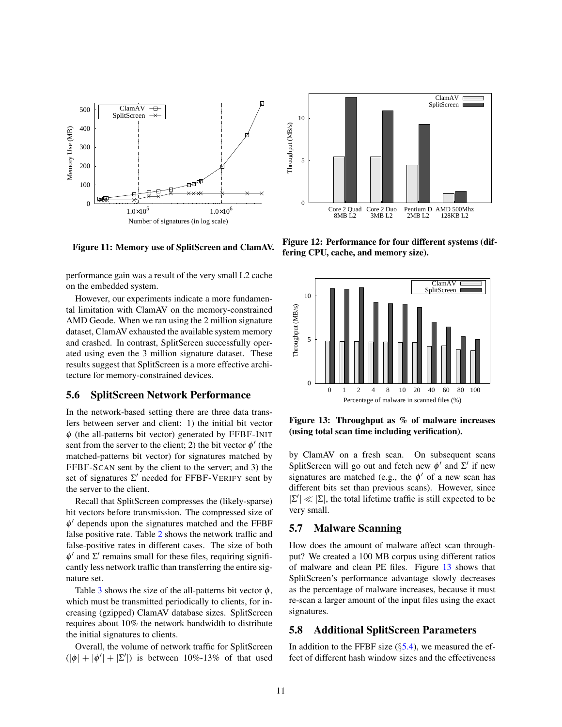

<span id="page-10-2"></span>Figure 11: Memory use of SplitScreen and ClamAV.

performance gain was a result of the very small L2 cache on the embedded system.

However, our experiments indicate a more fundamental limitation with ClamAV on the memory-constrained AMD Geode. When we ran using the 2 million signature dataset, ClamAV exhausted the available system memory and crashed. In contrast, SplitScreen successfully operated using even the 3 million signature dataset. These results suggest that SplitScreen is a more effective architecture for memory-constrained devices.

### <span id="page-10-5"></span>5.6 SplitScreen Network Performance

In the network-based setting there are three data transfers between server and client: 1) the initial bit vector  $\phi$  (the all-patterns bit vector) generated by FFBF-INIT sent from the server to the client; 2) the bit vector  $\phi'$  (the matched-patterns bit vector) for signatures matched by FFBF-SCAN sent by the client to the server; and 3) the set of signatures  $\Sigma'$  needed for FFBF-VERIFY sent by the server to the client.

Recall that SplitScreen compresses the (likely-sparse) bit vectors before transmission. The compressed size of  $\phi'$  depends upon the signatures matched and the FFBF false positive rate. Table [2](#page-11-1) shows the network traffic and false-positive rates in different cases. The size of both  $\phi'$  and  $\Sigma'$  remains small for these files, requiring significantly less network traffic than transferring the entire signature set.

Table [3](#page-11-2) shows the size of the all-patterns bit vector  $\phi$ , which must be transmitted periodically to clients, for increasing (gzipped) ClamAV database sizes. SplitScreen requires about 10% the network bandwidth to distribute the initial signatures to clients.

Overall, the volume of network traffic for SplitScreen  $(|\phi| + |\phi'| + |\Sigma'|)$  is between 10%-13% of that used



<span id="page-10-3"></span>Figure 12: Performance for four different systems (differing CPU, cache, and memory size).



<span id="page-10-4"></span>Figure 13: Throughput as % of malware increases (using total scan time including verification).

by ClamAV on a fresh scan. On subsequent scans SplitScreen will go out and fetch new  $\phi'$  and  $\Sigma'$  if new signatures are matched (e.g., the  $\phi'$  of a new scan has different bits set than previous scans). However, since  $|\Sigma'| \ll |\Sigma|$ , the total lifetime traffic is still expected to be very small.

### <span id="page-10-1"></span>5.7 Malware Scanning

How does the amount of malware affect scan throughput? We created a 100 MB corpus using different ratios of malware and clean PE files. Figure [13](#page-10-4) shows that SplitScreen's performance advantage slowly decreases as the percentage of malware increases, because it must re-scan a larger amount of the input files using the exact signatures.

### <span id="page-10-0"></span>5.8 Additional SplitScreen Parameters

In addition to the FFBF size  $(\S$ [5.4\)](#page-8-0), we measured the effect of different hash window sizes and the effectiveness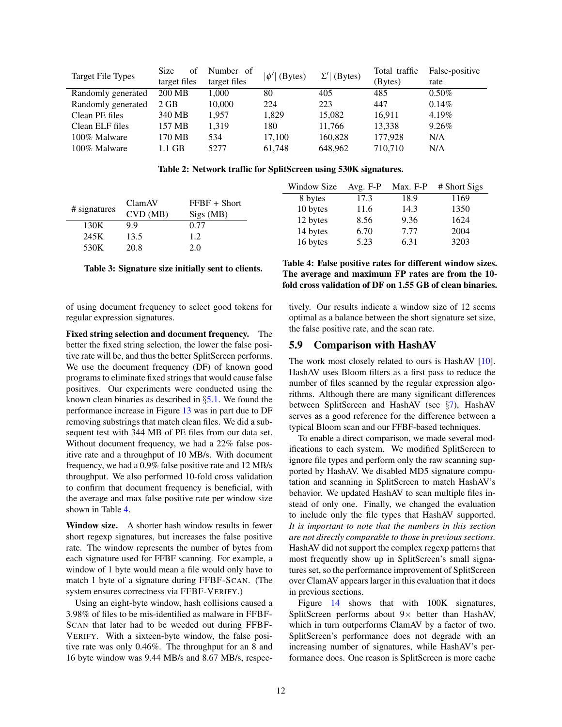|                          | <b>Size</b><br>οť | Number of    | $ \phi' $ (Bytes) | $ \Sigma' $<br>(Bytes) | Total traffic | False-positive |
|--------------------------|-------------------|--------------|-------------------|------------------------|---------------|----------------|
| <b>Target File Types</b> | target files      | target files |                   |                        | (Bytes)       | rate           |
| Randomly generated       | 200 MB            | 1.000        | 80                | 405                    | 485           | $0.50\%$       |
| Randomly generated       | $2$ GB            | 10,000       | 224               | 223                    | 447           | $0.14\%$       |
| Clean PE files           | 340 MB            | 1.957        | 1.829             | 15.082                 | 16.911        | 4.19%          |
| Clean ELF files          | 157 MB            | 1.319        | 180               | 11.766                 | 13.338        | 9.26%          |
| 100% Malware             | 170 MB            | 534          | 17.100            | 160,828                | 177,928       | N/A            |
| 100% Malware             | 1.1 GB            | 5277         | 61.748            | 648,962                | 710,710       | N/A            |

Table 2: Network traffic for SplitScreen using 530K signatures.

|              |                          |                                     | Window Size          | Avg. $F-P$ | Max. F-P | # Short Sigs |
|--------------|--------------------------|-------------------------------------|----------------------|------------|----------|--------------|
|              | ClamAV<br>CVD(MB)<br>9.9 | $FFBF + Short$<br>Sigs (MB)<br>0.77 | 8 bytes              | 17.3       | 18.9     | 1169         |
| # signatures |                          |                                     | 10 bytes             | 11.6       | 14.3     | 1350         |
|              |                          |                                     | 12 bytes             | 8.56       | 9.36     | 1624         |
| 130K         |                          |                                     | 14 bytes<br>16 bytes | 6.70       | 7.77     | 2004         |
| 245K         | 13.5                     | 1.2                                 |                      |            |          |              |
| 530K         | 20.8                     | 2.0                                 |                      | 5.23       | 6.31     | 3203         |

#### Table 3: Signature size initially sent to clients.

of using document frequency to select good tokens for regular expression signatures.

Fixed string selection and document frequency. The better the fixed string selection, the lower the false positive rate will be, and thus the better SplitScreen performs. We use the document frequency (DF) of known good programs to eliminate fixed strings that would cause false positives. Our experiments were conducted using the known clean binaries as described in §[5.1.](#page-7-2) We found the performance increase in Figure [13](#page-10-4) was in part due to DF removing substrings that match clean files. We did a subsequent test with 344 MB of PE files from our data set. Without document frequency, we had a 22% false positive rate and a throughput of 10 MB/s. With document frequency, we had a 0.9% false positive rate and 12 MB/s throughput. We also performed 10-fold cross validation to confirm that document frequency is beneficial, with the average and max false positive rate per window size shown in Table [4.](#page-11-3)

Window size. A shorter hash window results in fewer short regexp signatures, but increases the false positive rate. The window represents the number of bytes from each signature used for FFBF scanning. For example, a window of 1 byte would mean a file would only have to match 1 byte of a signature during FFBF-SCAN. (The system ensures correctness via FFBF-VERIFY.)

Using an eight-byte window, hash collisions caused a 3.98% of files to be mis-identified as malware in FFBF-SCAN that later had to be weeded out during FFBF-VERIFY. With a sixteen-byte window, the false positive rate was only 0.46%. The throughput for an 8 and 16 byte window was 9.44 MB/s and 8.67 MB/s, respec-

<span id="page-11-3"></span><span id="page-11-2"></span><span id="page-11-1"></span>Table 4: False positive rates for different window sizes. The average and maximum FP rates are from the 10 fold cross validation of DF on 1.55 GB of clean binaries.

tively. Our results indicate a window size of 12 seems optimal as a balance between the short signature set size, the false positive rate, and the scan rate.

### <span id="page-11-0"></span>5.9 Comparison with HashAV

The work most closely related to ours is HashAV [\[10\]](#page-13-5). HashAV uses Bloom filters as a first pass to reduce the number of files scanned by the regular expression algorithms. Although there are many significant differences between SplitScreen and HashAV (see §[7\)](#page-12-0), HashAV serves as a good reference for the difference between a typical Bloom scan and our FFBF-based techniques.

To enable a direct comparison, we made several modifications to each system. We modified SplitScreen to ignore file types and perform only the raw scanning supported by HashAV. We disabled MD5 signature computation and scanning in SplitScreen to match HashAV's behavior. We updated HashAV to scan multiple files instead of only one. Finally, we changed the evaluation to include only the file types that HashAV supported. *It is important to note that the numbers in this section are not directly comparable to those in previous sections.* HashAV did not support the complex regexp patterns that most frequently show up in SplitScreen's small signatures set, so the performance improvement of SplitScreen over ClamAV appears larger in this evaluation that it does in previous sections.

Figure [14](#page-12-1) shows that with 100K signatures, SplitScreen performs about  $9 \times$  better than HashAV, which in turn outperforms ClamAV by a factor of two. SplitScreen's performance does not degrade with an increasing number of signatures, while HashAV's performance does. One reason is SplitScreen is more cache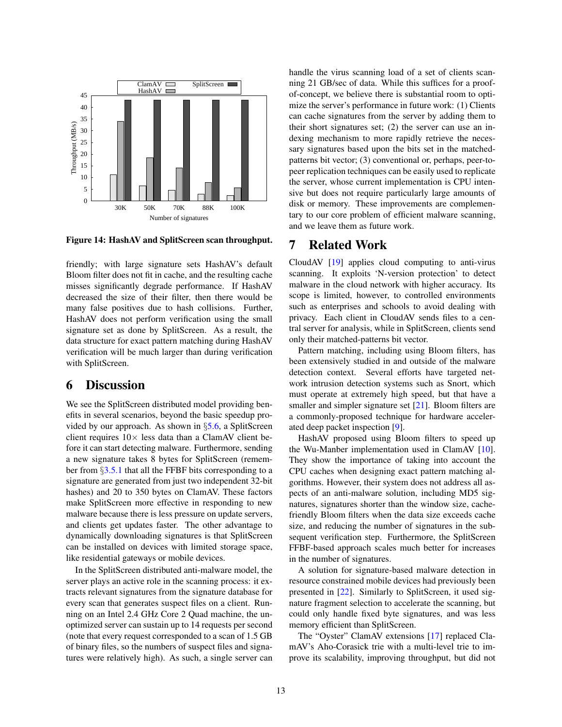

<span id="page-12-1"></span>Figure 14: HashAV and SplitScreen scan throughput.

friendly; with large signature sets HashAV's default Bloom filter does not fit in cache, and the resulting cache misses significantly degrade performance. If HashAV decreased the size of their filter, then there would be many false positives due to hash collisions. Further, HashAV does not perform verification using the small signature set as done by SplitScreen. As a result, the data structure for exact pattern matching during HashAV verification will be much larger than during verification with SplitScreen.

# 6 Discussion

We see the SplitScreen distributed model providing benefits in several scenarios, beyond the basic speedup provided by our approach. As shown in §[5.6,](#page-10-5) a SplitScreen client requires  $10\times$  less data than a ClamAV client before it can start detecting malware. Furthermore, sending a new signature takes 8 bytes for SplitScreen (remember from §[3.5.1](#page-5-0) that all the FFBF bits corresponding to a signature are generated from just two independent 32-bit hashes) and 20 to 350 bytes on ClamAV. These factors make SplitScreen more effective in responding to new malware because there is less pressure on update servers, and clients get updates faster. The other advantage to dynamically downloading signatures is that SplitScreen can be installed on devices with limited storage space, like residential gateways or mobile devices.

In the SplitScreen distributed anti-malware model, the server plays an active role in the scanning process: it extracts relevant signatures from the signature database for every scan that generates suspect files on a client. Running on an Intel 2.4 GHz Core 2 Quad machine, the unoptimized server can sustain up to 14 requests per second (note that every request corresponded to a scan of 1.5 GB of binary files, so the numbers of suspect files and signatures were relatively high). As such, a single server can handle the virus scanning load of a set of clients scanning 21 GB/sec of data. While this suffices for a proofof-concept, we believe there is substantial room to optimize the server's performance in future work: (1) Clients can cache signatures from the server by adding them to their short signatures set; (2) the server can use an indexing mechanism to more rapidly retrieve the necessary signatures based upon the bits set in the matchedpatterns bit vector; (3) conventional or, perhaps, peer-topeer replication techniques can be easily used to replicate the server, whose current implementation is CPU intensive but does not require particularly large amounts of disk or memory. These improvements are complementary to our core problem of efficient malware scanning, and we leave them as future work.

# <span id="page-12-0"></span>7 Related Work

CloudAV [\[19\]](#page-13-7) applies cloud computing to anti-virus scanning. It exploits 'N-version protection' to detect malware in the cloud network with higher accuracy. Its scope is limited, however, to controlled environments such as enterprises and schools to avoid dealing with privacy. Each client in CloudAV sends files to a central server for analysis, while in SplitScreen, clients send only their matched-patterns bit vector.

Pattern matching, including using Bloom filters, has been extensively studied in and outside of the malware detection context. Several efforts have targeted network intrusion detection systems such as Snort, which must operate at extremely high speed, but that have a smaller and simpler signature set [\[21\]](#page-13-19). Bloom filters are a commonly-proposed technique for hardware accelerated deep packet inspection [\[9\]](#page-13-20).

HashAV proposed using Bloom filters to speed up the Wu-Manber implementation used in ClamAV [\[10\]](#page-13-5). They show the importance of taking into account the CPU caches when designing exact pattern matching algorithms. However, their system does not address all aspects of an anti-malware solution, including MD5 signatures, signatures shorter than the window size, cachefriendly Bloom filters when the data size exceeds cache size, and reducing the number of signatures in the subsequent verification step. Furthermore, the SplitScreen FFBF-based approach scales much better for increases in the number of signatures.

A solution for signature-based malware detection in resource constrained mobile devices had previously been presented in [\[22\]](#page-13-21). Similarly to SplitScreen, it used signature fragment selection to accelerate the scanning, but could only handle fixed byte signatures, and was less memory efficient than SplitScreen.

The "Oyster" ClamAV extensions [\[17\]](#page-13-22) replaced ClamAV's Aho-Corasick trie with a multi-level trie to improve its scalability, improving throughput, but did not